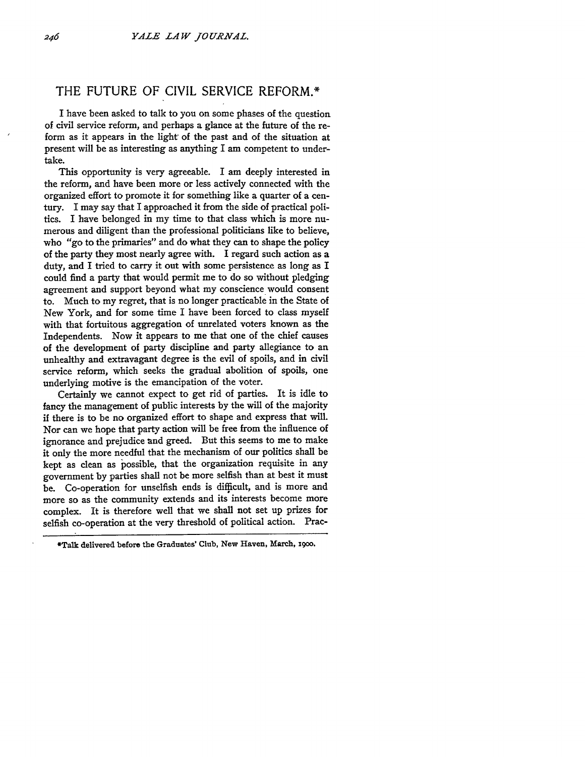## THE **FUTURE** OF CIVIL SERVICE REFORM.\*

I have been asked to talk to you on some phases of the question of civil service reform, and perhaps a glance at the future of the reform as it appears in the light- of the past and of the situation at present will be as interesting as anything I am competent to undertake.

This opportunity is very agreeable. I am deeply interested in the reform, and have been more or less actively connected with the organized effort to promote it for something like a quarter of a century. I may say that I approached it from the side of practical politics. I have belonged in my time to that class which is more numerous and diligent than the professional politicians like to believe, who "go to the primaries" and do what they can to shape the policy of the party they most nearly agree with. I regard such action as a duty, and I tried to carry it out with some persistence as long as I could find a party that would permit me to do so without pledging agreement and support beyond what my conscience would consent to. Much to my regret, that is no longer practicable in the State of New York, and for some time I have been forced to class myself with that fortuitous aggregation of unrelated voters known as the Independents. Now it appears to me that one of the chief causes of the development of party discipline and party allegiance to an unhealthy and extravagant degree is the evil of spoils, and in civil service reform, which seeks the gradual abolition of spoils, one underlying motive is the emancipation of the voter.

Certainly we cannot expect to get rid of parties. It is idle to fancy the management of public interests **by** the will of the majority if there is to be no organized effort to shape and express that will. Nor can we hope that party action will be free from the influence of ignorance and prejudice and greed. But this seems to me to make it only the more needful that the mechanism of our politics shall be kept as clean as possible, that the organization requisite in any government **by** parties shall not be more selfish than at best it must be. Co-operation for unselfish ends is difficult, and is more and more so as the community extends and its interests become more complex. It is therefore well that we shall not set up prizes for selfish co-operation at the very threshold of political action. Prac-

**<sup>\*</sup>Talk delivered** before **the Graduates'** Club, **New Haven, March, igoo.**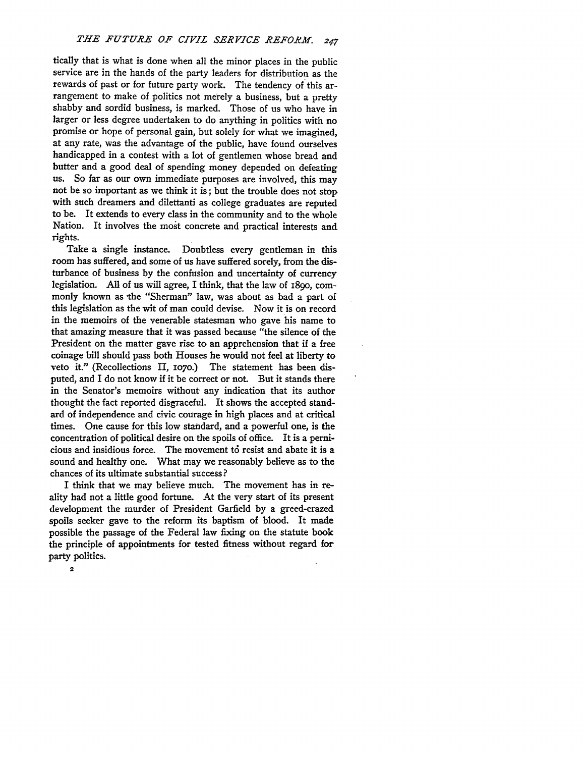tically that is what is done when all the minor places in the public service are in the hands of the party leaders for distribution as the rewards of past or for future party work. The tendency of this arrangement to make of politics not merely a business, but a pretty shabby and sordid business, is marked. Those of us who have in larger or less degree undertaken to do anything in politics with no promise or hope of personal gain, but solely for what we imagined, at any rate, was the advantage of the public, have found ourselves handicapped in a contest with a lot of gentlemen whose bread and butter and a good deal of spending money depended on defeating us. So far as our own immediate purposes are involved, this may not be so important as we think it is; but the trouble does not stop with such dreamers and dilettanti as college graduates are reputed to be. It extends to every class in the community and to the whole Nation. It involves the most concrete and practical interests and rights.

Take a single instance. Doubtless every gentleman in this room has suffered, and some of us have suffered sorely, from the disturbance of business by the confusion and uncertainty of currency legislation. All of us will agree, I think, that the law of 189o, commonly known as the "Sherman" law, was about as bad a part of this legislation as the wit of man could devise. Now it is on record in the memoirs of the venerable statesman who gave his name to that amazing measure that it was passed because "the silence of the President on the matter gave rise to an apprehension that if a free coinage bill should pass both Houses he would not feel at liberty to veto it." (Recollections II, 1070.) The statement has been disputed, and I do not know if it be correct or not. But it stands there in the Senator's memoirs without any indication that its author thought the fact reported disgraceful. It shows the accepted standard of independence and civic courage in high places and at critical times. One cause for this low standard, and a powerful one, is the concentration of political desire on the spoils of office. It is a pernicious and insidious force. The movement *t6* resist and abate it is a sound and healthy one. What may we reasonably believe as to the chances of its ultimate substantial success?

I think that we may believe much. The movement has in reality had not a little good fortune. At the very start of its present development the murder of President Garfield by a greed-crazed spoils seeker gave to the reform its baptism of blood. It made possible the passage of the Federal law fixing on the statute book the principle of appointments for tested fitness without regard for party politics.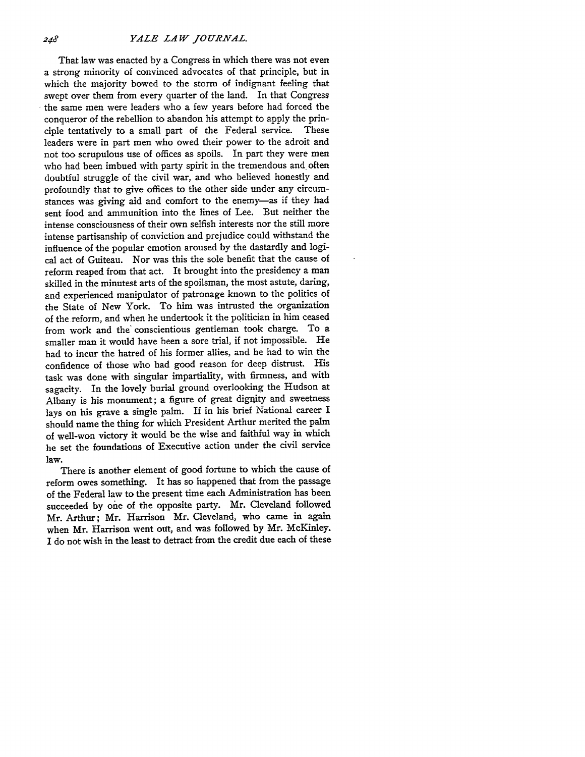That law was enacted by a Congress in which there was not even a strong minority of convinced advocates of that principle, but in which the majority bowed to the storm of indignant feeling that swept over them from every quarter of the land. In that Congress the same men were leaders who a few years before had forced the conqueror of the rebellion to abandon his attempt to apply the principle tentatively to a small part of the Federal service. These leaders were in part men who owed their power to the adroit and not too scrupulous use of offices as spoils. In part they were men who had been imbued with party spirit in the tremendous and often doubtful struggle of the civil war, and who believed honestly and profoundly that to give offices to the other side under any circumstances was giving aid and comfort to the enemy-as if they had sent food and ammunition into the lines of Lee. But neither the intense consciousness of their own selfish interests nor the still more intense partisanship of conviction and prejudice could withstand the influence of the popular emotion aroused by the dastardly and logical act of Guiteau. Nor was this the sole benefit that the cause of reform reaped from that act. It brought into the presidency a man skilled in the minutest arts of the spoilsman, the most astute, daring, and experienced manipulator of patronage known to the politics of the State of New York. To him was intrusted the organization of the reform, and when he undertook it the politician in him ceased from work and the' conscientious gentleman took charge. To a smaller man it would have been a sore trial, if not impossible. He bad to incur the hatred of his former allies, and he had to win the confidence of those who had good reason for deep distrust. His task was done with singular impartiality, with firmness, and with sagacity. In the lovely burial ground overlooking the Hudson at Albany is his monument; a figure of great dignity and sweetness lays on his grave a single palm. If in his brief National career I should name the thing for which President Arthur merited the palm of well-won victory it would be the wise and faithful way in which he set the foundations of Executive action under the civil service law.

There is another element of good fortune to which the cause of reform owes something. It has so happened that from the passage of the Federal law to the present time each Administration has been succeeded by one of the opposite party. Mr. Cleveland followed Mr. Arthur; Mr. Harrison Mr. Cleveland, who came in again when Mr. Harrison went out, and was followed by Mr. McKinley. I do not wish in the least to detract from the credit due each of these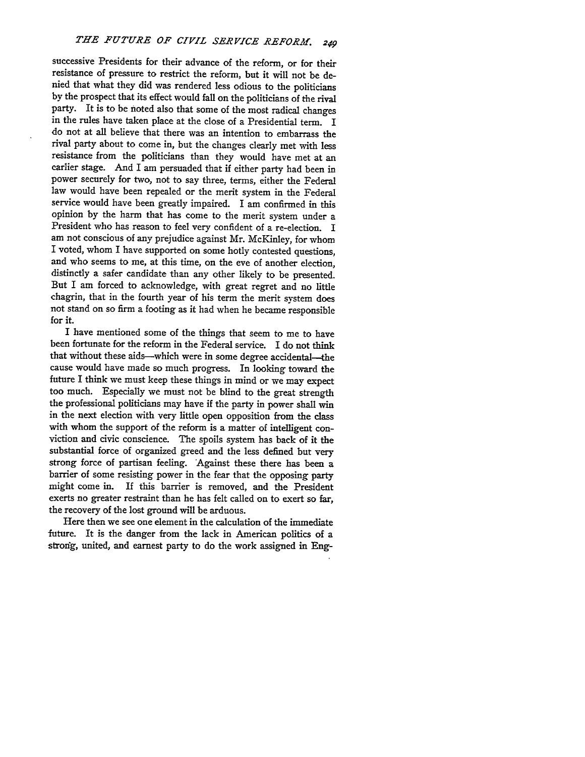successive Presidents for their advance of the reform, or for their resistance of pressure to restrict the reform, but it will not be denied that what they did was rendered less odious to the politicians by the prospect that its effect would fall on the politicians of the rival party. It is to be noted also that some of the most radical changes in the rules have taken place at the close of a Presidential term. I do not at all believe that there was an intention to embarrass the rival party about to come in, but the changes clearly met with less resistance from the politicians than they would have met at an earlier stage. And I am persuaded that if either party had been in power securely for two, not to say three, terms, either the Federal law would have been repealed or the merit system in the Federal service would have been greatly impaired. I am confirmed in this opinion by the harm that has come to the merit system under a President who has reason to feel very confident of a re-election. I am not conscious of any prejudice against Mr. McKinley, for whom I voted, whom I have supported on some hotly contested questions, and who seems to me, at this time, on the eve of another election, distinctly a safer candidate than any other likely to be presented. But I am forced to acknowledge, with great regret and no little chagrin, that in the fourth year of his term the merit system does not stand on so firm a footing as it had when he became responsible for it.

I have mentioned some of the things that seem to me to have been fortunate for the reform in the Federal service. I do not think that without these aids-which were in some degree accidental-the cause would have made so much progress. In looking toward the future I think we must keep these things in mind or we may expect too much. Especially we must not be blind to the great strength the professional politicians may have if the party in power shall win in the next election with very little open opposition from the class with whom the support of the reform is a matter of intelligent conviction and civic conscience. The spoils system has back of it the substantial force of organized greed and the less defined but very strong force of partisan feeling. 'Against these there has been a barrier of some resisting power in the fear that the opposing party might come in. If this barrier is removed, and the President exerts no greater restraint than he has felt called on to exert so far, the recovery of the lost ground will be arduous.

Here then we see one element in the calculation of the immediate future. It is the danger from the lack in American politics of a strong, united, and earnest party to do the work assigned in Eng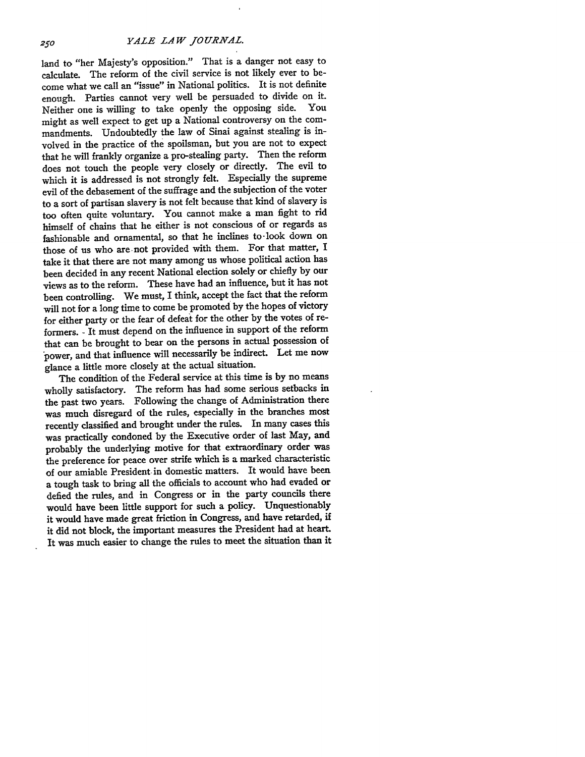**<sup>250</sup>***YALE LAW JOURNAL.*

land to "her Majesty's opposition." That is a danger not easy to calculate. The reform of the civil service is not likely ever to become what we call an "issue" in National politics. It is not definite enough. Parties cannot very well be persuaded to divide on it. Neither one is willing to take openly the opposing side. You might as well expect to get up a National controversy on the commandments. Undoubtedly the law of Sinai against stealing is involved in the practice of the spoilsman, but you are not to expect that he will frankly organize a pro-stealing party. Then the reform does not touch the people very closely or directly. The evil to which it is addressed is not strongly felt. Especially the supreme evil of the debasement of the suffrage and the subjection of the voter to a sort of partisan slavery is not felt because that kind of slavery is too often quite voluntary. You cannot make a man fight to rid himself of chains that he either is not conscious of or regards as fashionable and ornamental, so that he inclines to-look down on those of us who are not provided with them. For that matter, I take it that there are not many among us whose political action has been decided in any recent National election solely or chiefly **by** our views as to the reform. These have had an influence, but it has not been controlling. We must, I think, accept the fact that the reform will not for a long time to come be promoted **by** the hopes of victory for either party or the fear of defeat for the other **by** the votes of reformers. - It must depend on the influence in support of the reform that can be brought to bear on the persons in actual possession of power, and that influence will necessarily be indirect. Let me now glance a little more closely at the actual situation.

The condition of the Federal service at this time is **by** no means wholly satisfactory. The reform has had some serious setbacks in the past two years. Following the change of Administration there was much disregard of the rules, especially in the branches most recently classified and brought under the rules. In many cases this was practically condoned **by** the Executive order of last May, and probably the underlying motive for that extraordinary order was the preference for peace over strife which is a marked characteristic of our amiable President, in domestic matters. It would have been a tough task to bring all the officials to account who had evaded or defied the rules, and in Congress or in the party councils there would have been little support for such a policy. Unquestionably it would have made great friction in Congress, and have retarded, if it did not block, the important measures the President had at heart. It was much easier to change the rules to meet the situation than it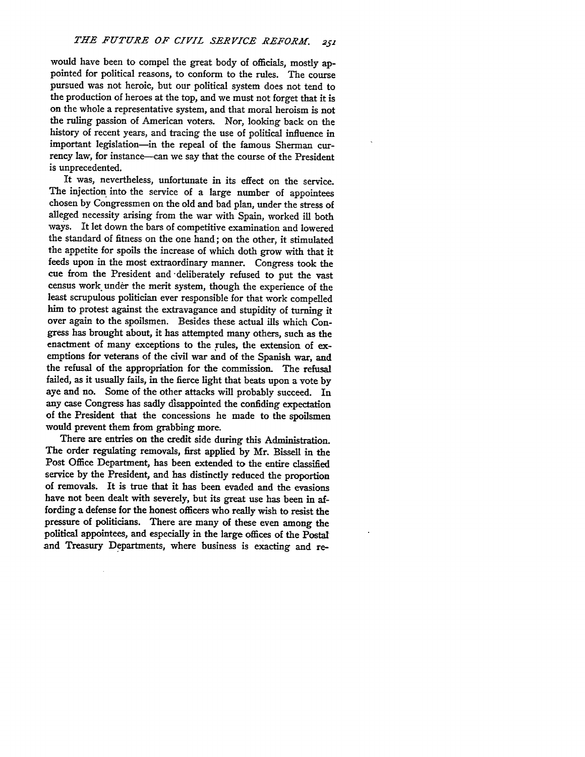would have been to compel the great body of officials, mostly appointed for political reasons, to conform to the rules. The course pursued was not heroic, but our political system does not tend to the production of heroes at the top, and we must not forget that it is on the whole a representative system, and that moral heroism is not the ruling passion of American voters. Nor, looking back on the history of recent years, and tracing the use of political influence in important legislation-in the repeal of the famous Sherman currency law, for instance--can we say that the course of the President is unprecedented.

It was, nevertheless, unfortunate in its effect on the service. The injection into the service of a large number of appointees chosen by Congressmen on the old and bad plan, under the stress of alleged necessity arising from the war with Spain, worked ill both ways. It let down the bars of competitive examination and lowered the standard of fitness on the one hand; on the other, it stimulated the appetite for spoils the increase of which doth grow with that it feeds upon in the most extraordinary manner. Congress took the cue from the President and -deliberately refused to put the vast census work under the merit system, though the experience of the least scrupulous politician ever responsible for that work compelled him to protest against the extravagance and stupidity of turning it over again to the spoilsmen. Besides these actual ills which Congress has brought about, it has attempted many others, such as the enactment of many exceptions to the rules, the extension of exemptions for veterans of the civil war and of the Spanish war, and the refusal of the appropriation for the commission. The refusal failed, as it usually fails, in the fierce light that beats upon a vote by aye and no. Some of the other attacks will probably succeed. In any case Congress has sadly disappointed the confiding expectation of the President that the concessions he made to the spoilsmen would prevent them from grabbing more.

There are entries on the credit side during this Administration. The order regulating removals, first applied by Mr. Bissell in the Post Office Department, has been extended to the entire classified service by the President, and has distinctly reduced the proportion of removals. It is true that it has been evaded and the evasions have not been dealt with severely, but its great use has been in affording a defense for the honest officers who really wish to resist the pressure of politicians. There are many of these even among the political appointees, and especially in the large offices of the Postal and Treasury Departments, where business is exacting and re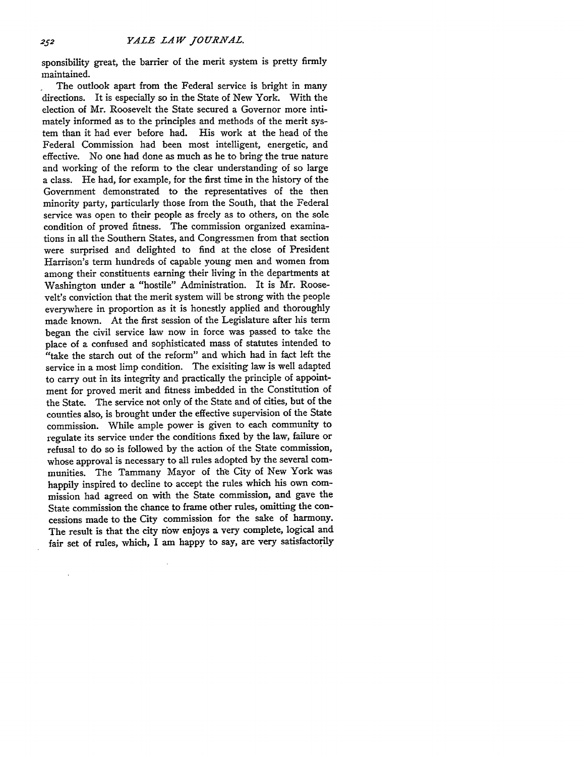sponsibility great, the barrier of the merit system is pretty firmly maintained.

The outlook apart from the Federal service is bright in many directions. It is especially so in the State of New York. With the election of Mr. Roosevelt the State secured a Governor more intimately informed as to the principles and methods of the merit system than it had ever before had. His work at the head of the Federal Commission had been most intelligent, energetic, and effective. No one had done as much as he to bring the true nature and working of the reform to the clear understanding of so large a class. He had, for example, for the first time in the history of the Government demonstrated to the representatives of the then minority party, particularly those from the South, that the Federal service was open to their people as freely as to others, on the sole condition of proved fitness. The commission organized examinations in all the Southern States, and Congressmen from that section were surprised and delighted to find at the close of President Harrison's term hundreds of capable young men and women from among their constituents earning their living in the departments at Washington under a "hostile" Administration. It is Mr. Roosevelt's conviction that the merit system will be strong with the people everywhere in proportion as it is honestly applied and thoroughly made known. At the first session of the Legislature after his term began the civil service law now in force was passed to take the place of a confused and sophisticated mass of statutes intended to "take the starch out of the reform" and which had in fact left the service in a most limp condition. The exisiting law is well adapted to carry out in its integrity and practically the principle of appointment for proved merit and fitness imbedded in the Constitution of the State. The service not only of the State and of cities, but of the counties also, is brought under the effective supervision of the State commission. While ample power is given to each community to regulate its service under the conditions fixed by the law, failure or refusal to do so is followed by the action of the State commission, whose approval is necessary to all rules adopted by the several communities. The Tammany Mayor of the City of New York was happily inspired to decline to accept the rules which his own commission had agreed on with the State commission, and gave the State commission the chance to frame other rules, omitting the concessions made to the City commission for the sake of harmony. The result is that the city now enjoys a very complete, logical and fair set of rules, which, I am happy to say, are very satisfactorily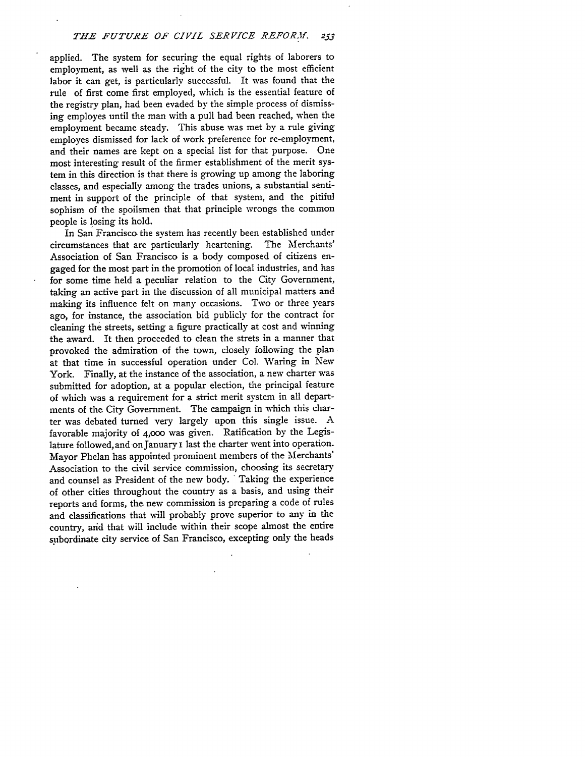## *THE FUTURE OF CIVIL SERVICE REFORJf.* **<sup>253</sup>**

applied. The system for securing the equal rights of laborers to employment, as well as the right of the city to the most efficient labor it can get, is particularly successful. It was found that the rule of first come first employed, which is the essential feature of the registry plan, had been evaded by the simple process of dismissing employes until the man with a pull had been reached, when the employment became steady. This abuse was met by a rule giving employes dismissed for lack of work preference for re-employment, and their names are kept on a special list for that purpose. One most interesting result of the firmer establishment of the merit system in this direction is that there is growing up among the laboring classes, and especially among the trades unions, a substantial sentiment in support of the principle of that system, and the pitiful sophism of the spoilsmen that that principle wrongs the common people is losing its hold.

In San Francisco the system has recently been established under circumstances that are particularly heartening. The Merchants' Association of San Francisco is a body composed of citizens engaged for the most part in the promotion of local industries, and has for some time held a peculiar relation to the City Government. taking an active part in the discussion of all municipal matters and making its influence felt on many occasions. Two or three years ago, for instance, the association bid publicly for the contract for cleaning the streets, setting a figure practically at cost and winning the award. It then proceeded to clean the strets in a manner that provoked the admiration of the town, closely following the plan at that time in successful operation under Col. Waring in New York. Finally, at the instance of the association, a new charter was submitted for adoption, at a popular election, the principal feature of which was a requirement for a strict merit system in all departments of the City Government. The campaign in which this charter was debated turned very largely upon this single issue. A favorable majority of 4,000 was given. Ratification by the Legislature followed, and on January **i** last the charter went into operation. Mayor Phelan has appointed prominent members of the Merchants" Association to the civil service commission, choosing its secretary and counsel as President of the new body. **\*** Taking the experience of other cities throughout the country as a basis, and using their reports and forms, the. new commission is preparing a code of rules and classifications that will probably prove superior to any in the country, aid that will include within their scope almost the entire subordinate city service of San Francisco, excepting only the heads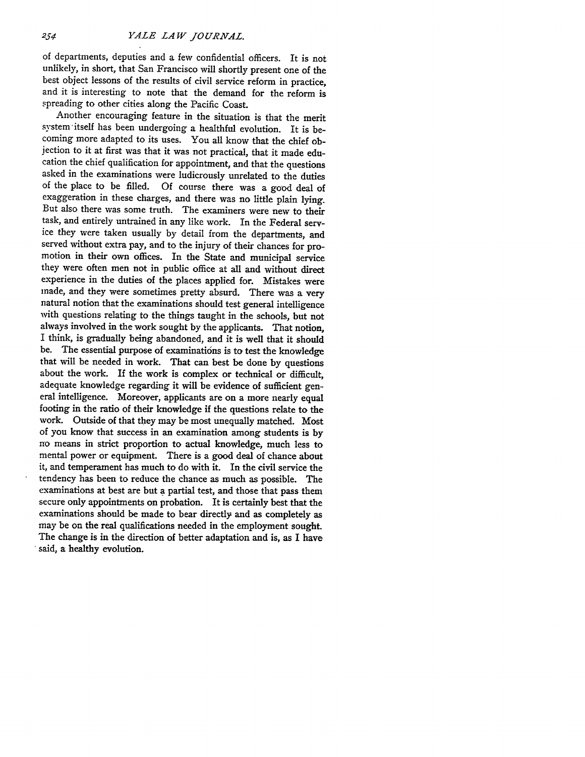of departments, deputies and a few confidential officers. It is not unlikely, in short, that San Francisco will shortly present one of the best object lessons of the results of civil service reform in practice, and it is interesting to note that the demand for the reform is spreading to other cities along the Pacific Coast.

Another encouraging feature in the situation is that the merit system itself has been undergoing a healthful evolution. It is becoming more adapted to its uses. You all know that the chief ob iection to it at first was that it was not practical, that it made education the chief qualification for appointment, and that the questions asked in the examinations were ludicrously unrelated to the duties of the place to be filled. Of course there was a good deal of exaggeration in these charges, and there was no little plain lying. But also there was some truth. The examiners were new to their task, and entirely untrained in any like work. In the Federal service they were taken usually by detail from the departments, and served without extra pay, and to the injury of their chances for promotion in their own offices. In the State and municipal service they were often men not in public office at all and without direct experience in the duties of the places applied for. Mistakes were made, and they were sometimes pretty absurd. There was a very natural notion that the examinations should test general intelligence with questions relating to the things taught in the schools, but not always involved in the work sought by the applicants. That notion, I think, is gradually being abandoned, and it is well that it should be. The essential purpose of examinations is to test the knowledge that will be needed in work. That can best be done **by** questions about the work. If the work is complex or technical or difficult, adequate knowledge regarding it will be evidence of sufficient general intelligence. Moreover, applicants are on a more nearly equal footing in the ratio of their knowledge if the questions relate to the work. Outside of that they may be most unequally matched. Most of you know that success in an examination among students is by no means in strict proportion to actual knowledge, much less to mental power or equipment. There is a good deal of chance about it, and temperament has much to do with it. In the civil service the tendency has been to reduce the chance as much as possible. The examinations at best are but a partial test, and those that pass them secure only appointments on probation. It is certainly best that the examinations should be made to bear directly and as completely as may be on the real qualifications needed in the employment sought. The change is in the direction of better adaptation and is, as I have said, a healthy evolution.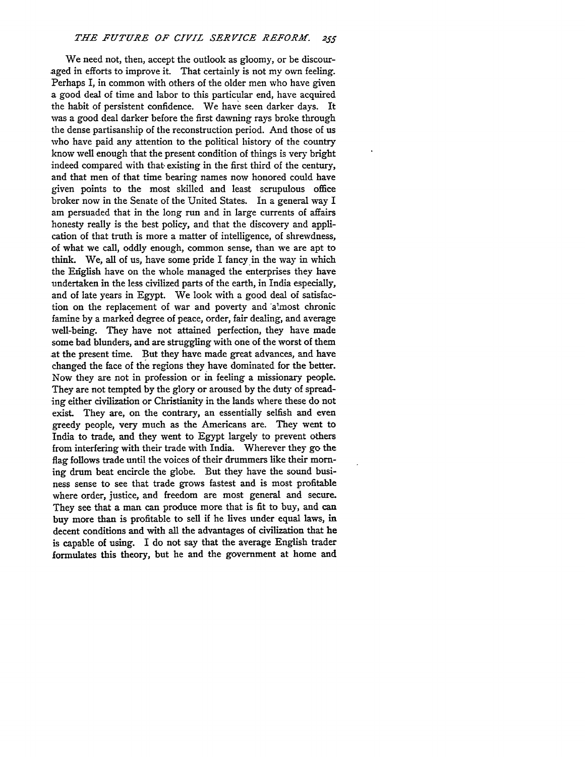We need not, then, accept the outlook as gloomy, or be discouraged in efforts to improve it. That certainly is not my own feeling. Perhaps I, in common with others of the older men who have given a good deal of time and labor to this particular end, have acquired the habit of persistent confidence. We have seen darker days. It was a good deal darker before the first dawning rays broke through the dense partisanship of the reconstruction period. And those of us who have paid any attention to the political history of the country know well enough that the present condition of things is very bright indeed compared with that- existing in the first third of the century, and that men of that time bearing names now honored could have given points to the most skilled and least scrupulous office broker now in the Senate of the United States. In a general way I am persuaded that in the long run and in large currents of affairs honesty really is the best policy, and that the discovery and application of that truth is more a matter of intelligence, of shrewdness, of what we call, oddly enough, common sense, than we are apt to think. We, all of us, have some pride I fancy in the way in which the English have on the whole managed the enterprises they have undertaken in the less civilized parts of the earth, in India especially, and of late years in Egypt. We look with a good deal of satisfaction on the replacement of war and poverty and 'almost chronic famine by a marked degree of peace, order, fair dealing, and average well-being. They have not attained perfection, they have made some bad blunders, and are struggling with one of the worst of them at the present time. But they have made great advances, and have changed the face of the regions they have dominated for the better. Now they are not in profession or in feeling a missionary people. They are not tempted by the glory or aroused by the duty of spreading either civilization or Christianity in the lands where these do not exist. They are, on the contrary, an essentially selfish and even greedy people, very much as the Americans are. They went to India to trade, and they went to Egypt largely to prevent others from interfering with their trade with India. Wherever they go the flag follows trade until the voices of their drummers like their morning drum beat encircle the globe. But they have the sound business sense to see that trade grows fastest and is most profitable where order, justice, and freedom are most general and secure. They see that a man can produce more that is fit to buy, and can buy more than is profitable to sell if he lives under equal laws, in decent conditions and with all the advantages of civilization that he is capable of using. I do not say that the average English trader formulates this theory, but he and the government at home and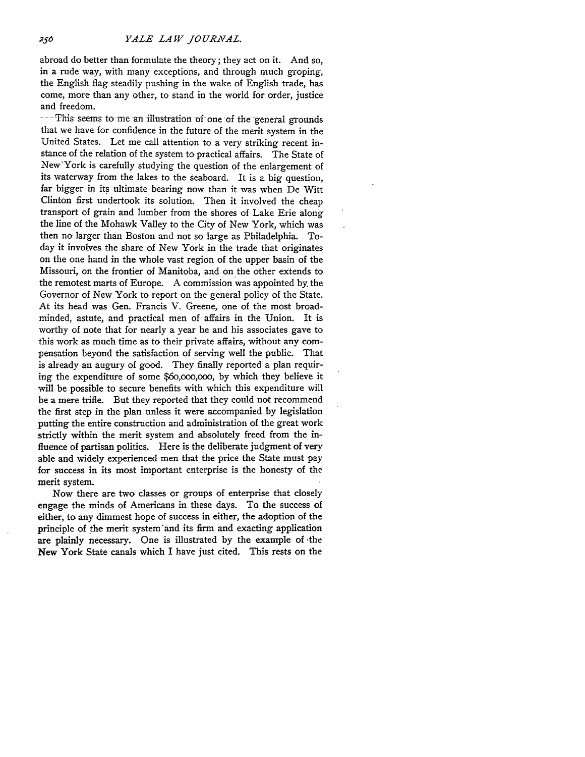abroad do better than formulate the theory; they act on it. And so, in a rude way, with many exceptions, and through much groping, the English flag steadily pushing in the wake of English trade, has come, more than any other, to stand in the world for order, justice and freedom.

---This seems to me an illustration of one of the general grounds that we have for confidence in the future of the merit system in the United States. Let me call attention to a very striking recent instance of the relation of the system to practical affairs. The State of New'York is carefully studying the question of the enlargement of its waterway from the lakes to the seaboard. It is a big question, far bigger in its ultimate bearing now than it was when De Witt Clinton first undertook its solution. Then it involved the cheap transport of grain and lumber from the shores of Lake Erie along the line of the Mohawk Valley to the City of New York, which was then no larger than Boston and not so large as Philadelphia. Today it involves the share of New York in the trade that originates on the one hand in the whole vast region of the upper basin of the Missouri, on the frontier of Manitoba, and on the other extends to the remotest marts of Europe. A commission was appointed by. the Governor of New York to report on the general policy of the State. At its head was Gen. Francis V. Greene, one of the most broadminded, astute, and practical men of affairs in the Union. It is worthy of note that for nearly a year he and his associates gave to this work as much time as to their private affairs, without any compensation beyond the satisfaction of serving well the public. That is already an augury of good. They finally reported a plan requiring the expenditure of some \$6o,oooooo, by which they believe it will be possible to secure benefits with which this expenditure will be a mere trifle. But they reported that they could not recommend the first step in the plan unless it were accompanied by legislation putting the entire construction and administration of the great work strictly within the merit system and absolutely freed from the influence of partisan politics. Here is the deliberate judgment of very able and widely experienced men that the price the State must pay for success in its most important enterprise is the honesty of the merit system.

Now there are two classes or groups of enterprise that closely engage the minds of Americans in these days. To the success of either, to any dimmest hope of success in either, the adoption of the principle of the merit system and its firm and exacting application are plainly necessary. One is illustrated by the example of -the New York State canals which I have just cited. This rests on the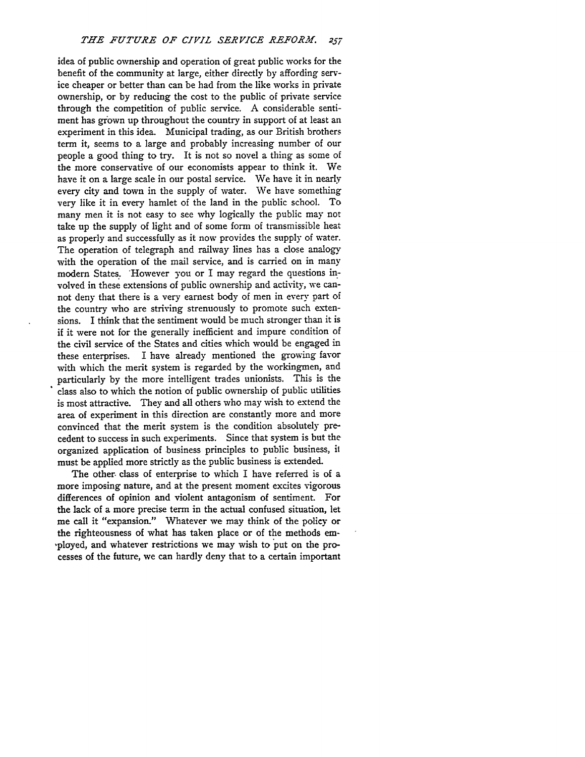idea of public ownership and operation of great public works for the benefit of the community at large, either directly by affording service cheaper or better than can be had from the like works in private ownership, or by reducing the cost to the public of private service through the competition of public service. A considerable sentiment has grown up throughout the country in support of at least an experiment in this idea. Municipal trading, as our British brothers term it, seems to a large and probably increasing number of our people a good thing to try. It is not so novel a thing as some of the more conservative of our economists appear to think it. We have it on a large scale in our postal service. We have it in nearly every city and town in the supply of water. We have something very like it in every hamlet of the land in the public school. To many men it is not easy to see why logically the public may not take up the supply of light and of some form of transmissible heat as properly and successfully as it now provides the supply of water. The operation of telegraph and railway lines has a close analogy with the operation of the mail service, and is carried on in many modern States. 'However you or I may regard the questions involved in these extensions of public ownership and activity, we cannot deny that there is a very earnest body of men in every part of the country who are striving strenuously to promote such extensions. I think that the sentiment would be much stronger than it is if it were not for the generally inefficient and impure condition of the civil service of the States and cities which would be engaged in these enterprises. I have already mentioned the growing favor with which the merit system is regarded **by** the workingmen, and particularly **by** the more intelligent trades unionists. This is the class also to which the notion of public ownership of public utilities is most attractive. They and all others who may wish to extend the area of experiment in this direction are constantly more and more convinced that the merit system is the condition absolutely precedent to success in such experiments. Since that system is but the organized application of business principles to public business, it must be applied more strictly as the public business is extended.

The other. class of enterprise to which I have referred is of a more imposing nature, and at the present moment excites vigorous differences of opinion and violent antagonism of sentiment. For the lack of a more precise term in the actual confused situation, let me call it "expansion." Whatever we may think of the policy or the righteousness of what has taken place or of the methods em- -played, and whatever restrictions we may wish to put on the processes of the future, we can hardly deny that to a certain important